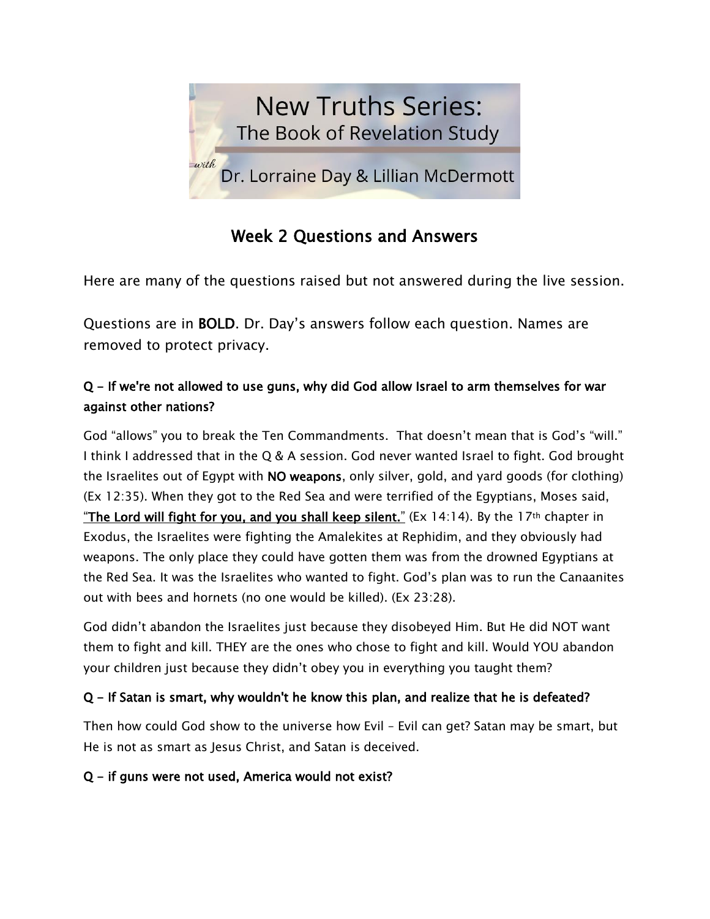

# Week 2 Questions and Answers

Here are many of the questions raised but not answered during the live session.

Questions are in BOLD. Dr. Day's answers follow each question. Names are removed to protect privacy.

## Q - If we're not allowed to use guns, why did God allow Israel to arm themselves for war against other nations?

God "allows" you to break the Ten Commandments. That doesn't mean that is God's "will." I think I addressed that in the Q & A session. God never wanted Israel to fight. God brought the Israelites out of Egypt with NO weapons, only silver, gold, and yard goods (for clothing) (Ex 12:35). When they got to the Red Sea and were terrified of the Egyptians, Moses said, "The Lord will fight for you, and you shall keep silent." (Ex 14:14). By the 17<sup>th</sup> chapter in Exodus, the Israelites were fighting the Amalekites at Rephidim, and they obviously had weapons. The only place they could have gotten them was from the drowned Egyptians at the Red Sea. It was the Israelites who wanted to fight. God's plan was to run the Canaanites out with bees and hornets (no one would be killed). (Ex 23:28).

God didn't abandon the Israelites just because they disobeyed Him. But He did NOT want them to fight and kill. THEY are the ones who chose to fight and kill. Would YOU abandon your children just because they didn't obey you in everything you taught them?

### Q - If Satan is smart, why wouldn't he know this plan, and realize that he is defeated?

Then how could God show to the universe how Evil – Evil can get? Satan may be smart, but He is not as smart as Jesus Christ, and Satan is deceived.

### Q - if guns were not used, America would not exist?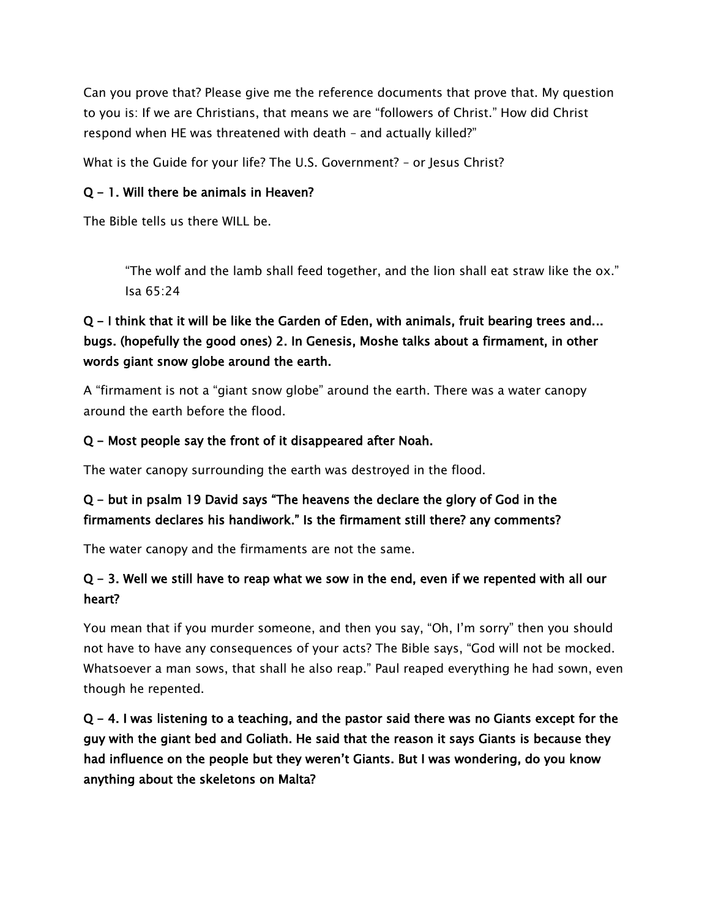Can you prove that? Please give me the reference documents that prove that. My question to you is: If we are Christians, that means we are "followers of Christ." How did Christ respond when HE was threatened with death – and actually killed?"

What is the Guide for your life? The U.S. Government? – or Jesus Christ?

### Q - 1. Will there be animals in Heaven?

The Bible tells us there WILL be.

"The wolf and the lamb shall feed together, and the lion shall eat straw like the ox." Isa 65:24

## Q - I think that it will be like the Garden of Eden, with animals, fruit bearing trees and... bugs. (hopefully the good ones) 2. In Genesis, Moshe talks about a firmament, in other words giant snow globe around the earth.

A "firmament is not a "giant snow globe" around the earth. There was a water canopy around the earth before the flood.

#### Q - Most people say the front of it disappeared after Noah.

The water canopy surrounding the earth was destroyed in the flood.

### Q - but in psalm 19 David says "The heavens the declare the glory of God in the firmaments declares his handiwork." Is the firmament still there? any comments?

The water canopy and the firmaments are not the same.

### Q - 3. Well we still have to reap what we sow in the end, even if we repented with all our heart?

You mean that if you murder someone, and then you say, "Oh, I'm sorry" then you should not have to have any consequences of your acts? The Bible says, "God will not be mocked. Whatsoever a man sows, that shall he also reap." Paul reaped everything he had sown, even though he repented.

 $Q - 4$ . I was listening to a teaching, and the pastor said there was no Giants except for the guy with the giant bed and Goliath. He said that the reason it says Giants is because they had influence on the people but they weren't Giants. But I was wondering, do you know anything about the skeletons on Malta?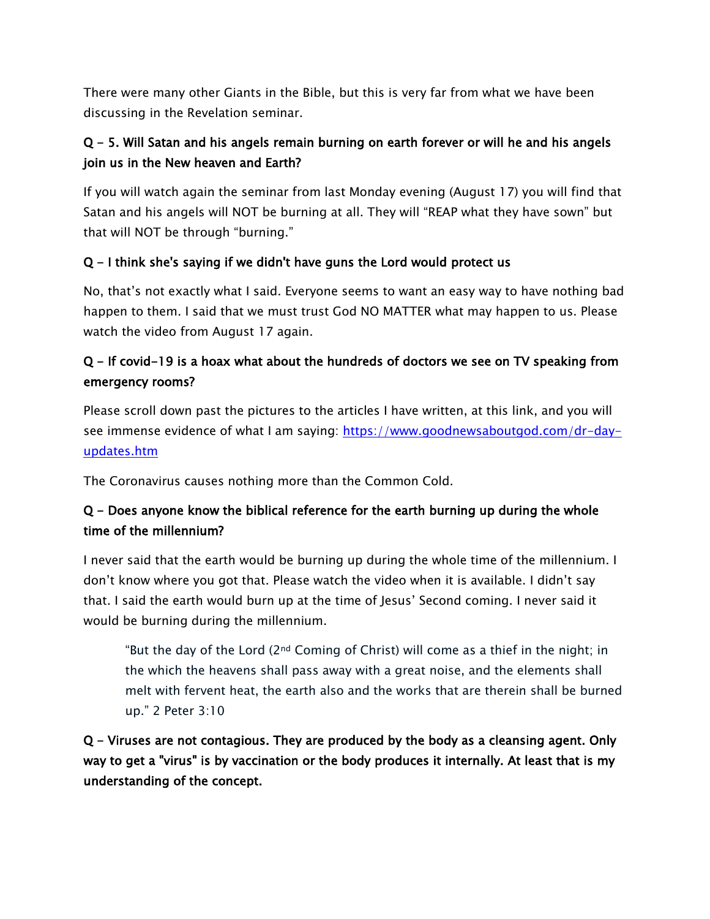There were many other Giants in the Bible, but this is very far from what we have been discussing in the Revelation seminar.

## Q - 5. Will Satan and his angels remain burning on earth forever or will he and his angels join us in the New heaven and Earth?

If you will watch again the seminar from last Monday evening (August 17) you will find that Satan and his angels will NOT be burning at all. They will "REAP what they have sown" but that will NOT be through "burning."

### Q - I think she's saying if we didn't have guns the Lord would protect us

No, that's not exactly what I said. Everyone seems to want an easy way to have nothing bad happen to them. I said that we must trust God NO MATTER what may happen to us. Please watch the video from August 17 again.

## Q - If covid-19 is a hoax what about the hundreds of doctors we see on TV speaking from emergency rooms?

Please scroll down past the pictures to the articles I have written, at this link, and you will see immense evidence of what I am saying: [https://www.goodnewsaboutgod.com/dr-day](https://www.goodnewsaboutgod.com/dr-day-updates.htm)[updates.htm](https://www.goodnewsaboutgod.com/dr-day-updates.htm)

The Coronavirus causes nothing more than the Common Cold.

## Q - Does anyone know the biblical reference for the earth burning up during the whole time of the millennium?

I never said that the earth would be burning up during the whole time of the millennium. I don't know where you got that. Please watch the video when it is available. I didn't say that. I said the earth would burn up at the time of Jesus' Second coming. I never said it would be burning during the millennium.

"But the day of the Lord (2nd Coming of Christ) will come as a thief in the night; in the which the heavens shall pass away with a great noise, and the elements shall melt with fervent heat, the earth also and the works that are therein shall be burned up." 2 Peter 3:10

Q - Viruses are not contagious. They are produced by the body as a cleansing agent. Only way to get a "virus" is by vaccination or the body produces it internally. At least that is my understanding of the concept.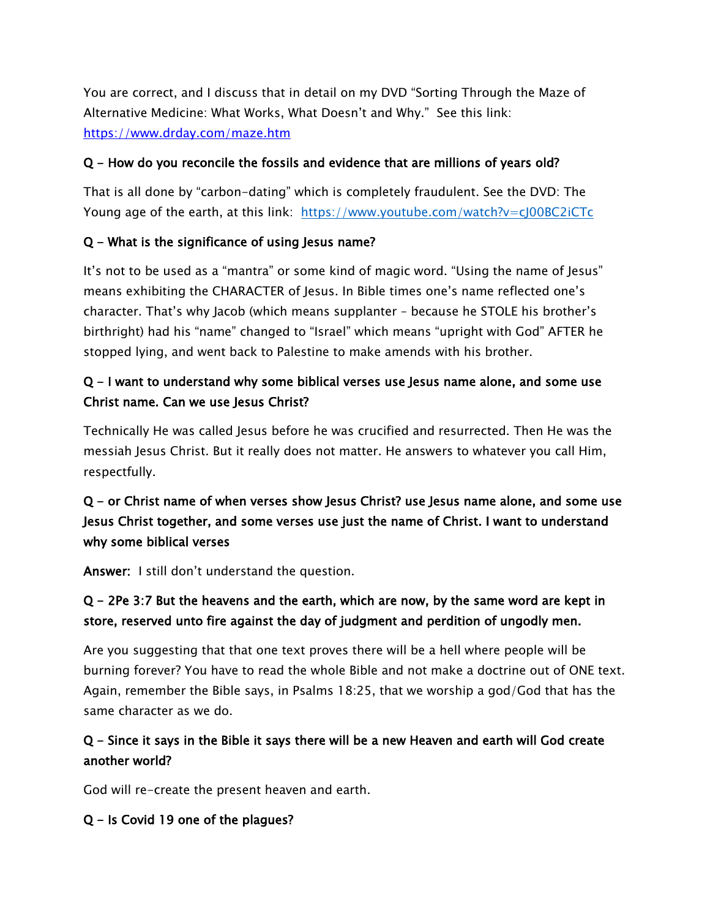You are correct, and I discuss that in detail on my DVD "Sorting Through the Maze of Alternative Medicine: What Works, What Doesn't and Why." See this link: <https://www.drday.com/maze.htm>

### Q - How do you reconcile the fossils and evidence that are millions of years old?

That is all done by "carbon-dating" which is completely fraudulent. See the DVD: The Young age of the earth, at this link: <https://www.youtube.com/watch?v=cJ00BC2iCTc>

### Q - What is the significance of using Jesus name?

It's not to be used as a "mantra" or some kind of magic word. "Using the name of Jesus" means exhibiting the CHARACTER of Jesus. In Bible times one's name reflected one's character. That's why Jacob (which means supplanter – because he STOLE his brother's birthright) had his "name" changed to "Israel" which means "upright with God" AFTER he stopped lying, and went back to Palestine to make amends with his brother.

### Q - I want to understand why some biblical verses use Jesus name alone, and some use Christ name. Can we use Jesus Christ?

Technically He was called Jesus before he was crucified and resurrected. Then He was the messiah Jesus Christ. But it really does not matter. He answers to whatever you call Him, respectfully.

## Q - or Christ name of when verses show Jesus Christ? use Jesus name alone, and some use Jesus Christ together, and some verses use just the name of Christ. I want to understand why some biblical verses

Answer: I still don't understand the question.

### Q - 2Pe 3:7 But the heavens and the earth, which are now, by the same word are kept in store, reserved unto fire against the day of judgment and perdition of ungodly men.

Are you suggesting that that one text proves there will be a hell where people will be burning forever? You have to read the whole Bible and not make a doctrine out of ONE text. Again, remember the Bible says, in Psalms 18:25, that we worship a god/God that has the same character as we do.

### Q - Since it says in the Bible it says there will be a new Heaven and earth will God create another world?

God will re-create the present heaven and earth.

#### Q - Is Covid 19 one of the plagues?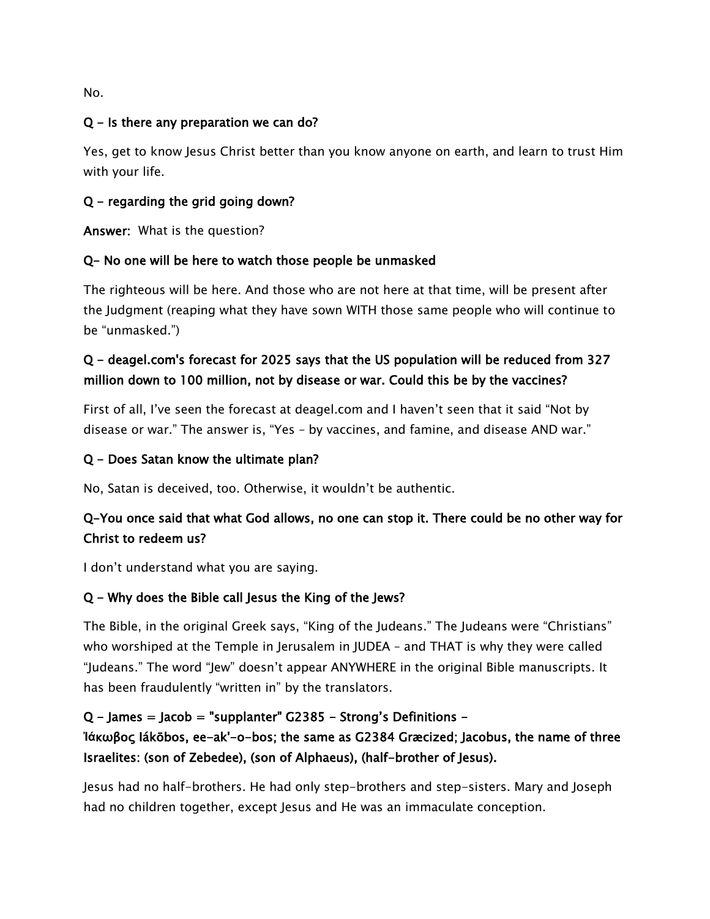No.

#### Q - Is there any preparation we can do?

Yes, get to know Jesus Christ better than you know anyone on earth, and learn to trust Him with your life.

### Q - regarding the grid going down?

Answer: What is the question?

### Q- No one will be here to watch those people be unmasked

The righteous will be here. And those who are not here at that time, will be present after the Judgment (reaping what they have sown WITH those same people who will continue to be "unmasked.")

## Q - deagel.com's forecast for 2025 says that the US population will be reduced from 327 million down to 100 million, not by disease or war. Could this be by the vaccines?

First of all, I've seen the forecast at deagel.com and I haven't seen that it said "Not by disease or war." The answer is, "Yes – by vaccines, and famine, and disease AND war."

### Q - Does Satan know the ultimate plan?

No, Satan is deceived, too. Otherwise, it wouldn't be authentic.

## Q-You once said that what God allows, no one can stop it. There could be no other way for Christ to redeem us?

I don't understand what you are saying.

### Q - Why does the Bible call Jesus the King of the Jews?

The Bible, in the original Greek says, "King of the Judeans." The Judeans were "Christians" who worshiped at the Temple in Jerusalem in JUDEA - and THAT is why they were called "Judeans." The word "Jew" doesn't appear ANYWHERE in the original Bible manuscripts. It has been fraudulently "written in" by the translators.

### $Q$  – James = Jacob = "supplanter" G2385 – Strong's Definitions – **Ἰά**κωβος Iákōbos, ee-ak'-o-bos; the same as G2384 Græcized; Jacobus, the name of three

## Israelites: (son of Zebedee), (son of Alphaeus), (half-brother of Jesus).

Jesus had no half-brothers. He had only step-brothers and step-sisters. Mary and Joseph had no children together, except Jesus and He was an immaculate conception.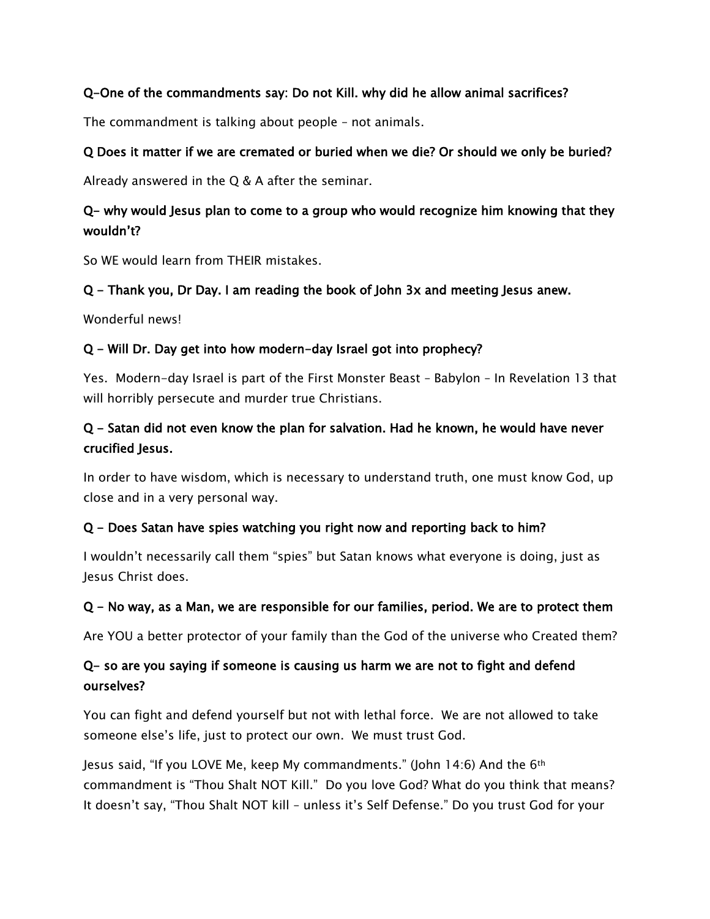### Q-One of the commandments say: Do not Kill. why did he allow animal sacrifices?

The commandment is talking about people – not animals.

#### Q Does it matter if we are cremated or buried when we die? Or should we only be buried?

Already answered in the Q & A after the seminar.

### Q- why would Jesus plan to come to a group who would recognize him knowing that they wouldn't?

So WE would learn from THEIR mistakes.

#### Q - Thank you, Dr Day. I am reading the book of John 3x and meeting Jesus anew.

Wonderful news!

#### Q - Will Dr. Day get into how modern-day Israel got into prophecy?

Yes. Modern-day Israel is part of the First Monster Beast – Babylon – In Revelation 13 that will horribly persecute and murder true Christians.

### Q - Satan did not even know the plan for salvation. Had he known, he would have never crucified Jesus.

In order to have wisdom, which is necessary to understand truth, one must know God, up close and in a very personal way.

### Q - Does Satan have spies watching you right now and reporting back to him?

I wouldn't necessarily call them "spies" but Satan knows what everyone is doing, just as Jesus Christ does.

#### Q - No way, as a Man, we are responsible for our families, period. We are to protect them

Are YOU a better protector of your family than the God of the universe who Created them?

### Q- so are you saying if someone is causing us harm we are not to fight and defend ourselves?

You can fight and defend yourself but not with lethal force. We are not allowed to take someone else's life, just to protect our own. We must trust God.

Jesus said, "If you LOVE Me, keep My commandments." (John 14:6) And the 6th commandment is "Thou Shalt NOT Kill." Do you love God? What do you think that means? It doesn't say, "Thou Shalt NOT kill – unless it's Self Defense." Do you trust God for your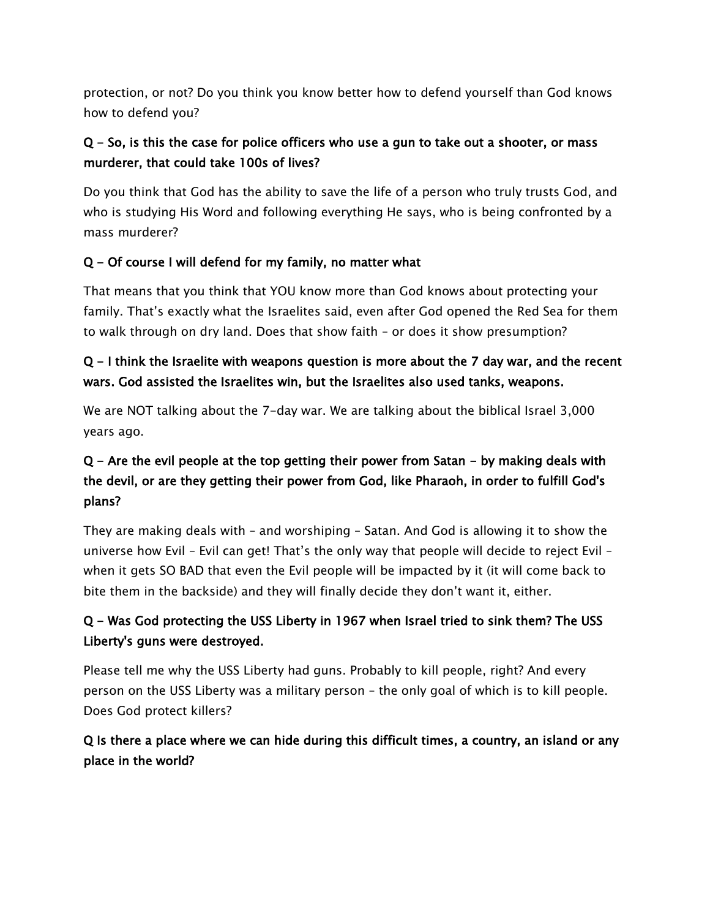protection, or not? Do you think you know better how to defend yourself than God knows how to defend you?

## Q - So, is this the case for police officers who use a gun to take out a shooter, or mass murderer, that could take 100s of lives?

Do you think that God has the ability to save the life of a person who truly trusts God, and who is studying His Word and following everything He says, who is being confronted by a mass murderer?

### Q - Of course I will defend for my family, no matter what

That means that you think that YOU know more than God knows about protecting your family. That's exactly what the Israelites said, even after God opened the Red Sea for them to walk through on dry land. Does that show faith – or does it show presumption?

## Q - I think the Israelite with weapons question is more about the 7 day war, and the recent wars. God assisted the Israelites win, but the Israelites also used tanks, weapons.

We are NOT talking about the 7-day war. We are talking about the biblical Israel 3,000 years ago.

## Q - Are the evil people at the top getting their power from Satan - by making deals with the devil, or are they getting their power from God, like Pharaoh, in order to fulfill God's plans?

They are making deals with – and worshiping – Satan. And God is allowing it to show the universe how Evil – Evil can get! That's the only way that people will decide to reject Evil – when it gets SO BAD that even the Evil people will be impacted by it (it will come back to bite them in the backside) and they will finally decide they don't want it, either.

## Q - Was God protecting the USS Liberty in 1967 when Israel tried to sink them? The USS Liberty's guns were destroyed.

Please tell me why the USS Liberty had guns. Probably to kill people, right? And every person on the USS Liberty was a military person – the only goal of which is to kill people. Does God protect killers?

## Q Is there a place where we can hide during this difficult times, a country, an island or any place in the world?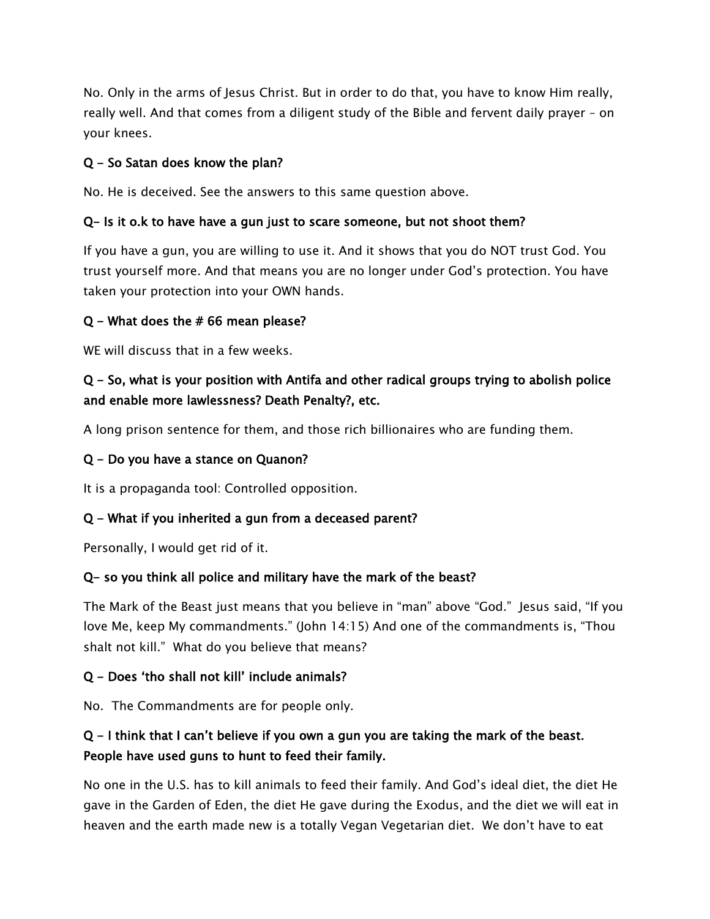No. Only in the arms of Jesus Christ. But in order to do that, you have to know Him really, really well. And that comes from a diligent study of the Bible and fervent daily prayer – on your knees.

#### Q - So Satan does know the plan?

No. He is deceived. See the answers to this same question above.

#### Q- Is it o.k to have have a gun just to scare someone, but not shoot them?

If you have a gun, you are willing to use it. And it shows that you do NOT trust God. You trust yourself more. And that means you are no longer under God's protection. You have taken your protection into your OWN hands.

#### Q - What does the # 66 mean please?

WE will discuss that in a few weeks.

### Q - So, what is your position with Antifa and other radical groups trying to abolish police and enable more lawlessness? Death Penalty?, etc.

A long prison sentence for them, and those rich billionaires who are funding them.

#### Q - Do you have a stance on Quanon?

It is a propaganda tool: Controlled opposition.

#### Q - What if you inherited a gun from a deceased parent?

Personally, I would get rid of it.

#### Q- so you think all police and military have the mark of the beast?

The Mark of the Beast just means that you believe in "man" above "God." Jesus said, "If you love Me, keep My commandments." (John 14:15) And one of the commandments is, "Thou shalt not kill." What do you believe that means?

#### Q - Does 'tho shall not kill' include animals?

No. The Commandments are for people only.

### Q - I think that I can't believe if you own a gun you are taking the mark of the beast. People have used guns to hunt to feed their family.

No one in the U.S. has to kill animals to feed their family. And God's ideal diet, the diet He gave in the Garden of Eden, the diet He gave during the Exodus, and the diet we will eat in heaven and the earth made new is a totally Vegan Vegetarian diet. We don't have to eat